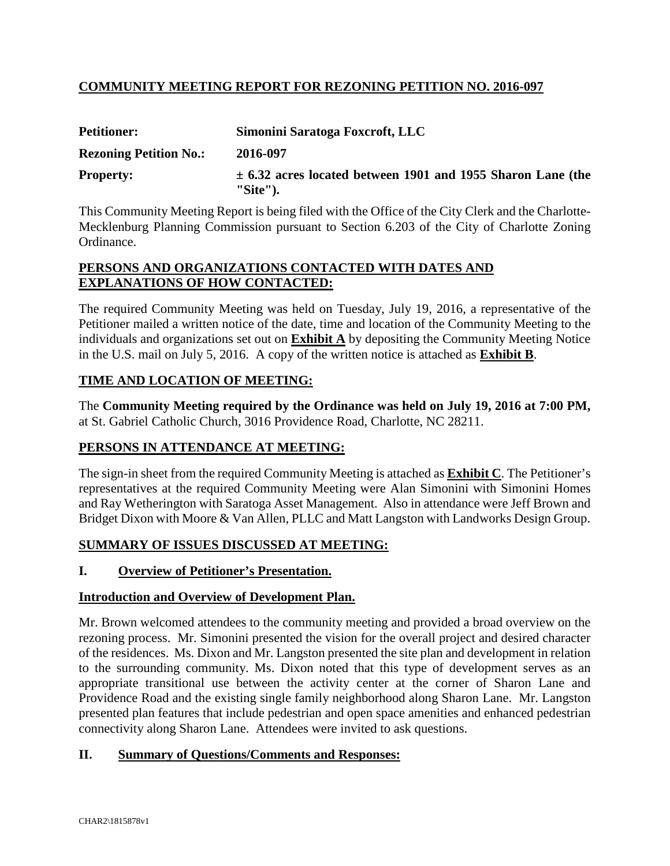# **COMMUNITY MEETING REPORT FOR REZONING PETITION NO. 2016-097**

| <b>Petitioner:</b>            | Simonini Saratoga Foxcroft, LLC                                                |
|-------------------------------|--------------------------------------------------------------------------------|
| <b>Rezoning Petition No.:</b> | 2016-097                                                                       |
| <b>Property:</b>              | $\pm$ 6.32 acres located between 1901 and 1955 Sharon Lane (the<br>$"Site"$ ). |

This Community Meeting Report is being filed with the Office of the City Clerk and the Charlotte-Mecklenburg Planning Commission pursuant to Section 6.203 of the City of Charlotte Zoning Ordinance.

#### **PERSONS AND ORGANIZATIONS CONTACTED WITH DATES AND EXPLANATIONS OF HOW CONTACTED:**

The required Community Meeting was held on Tuesday, July 19, 2016, a representative of the Petitioner mailed a written notice of the date, time and location of the Community Meeting to the individuals and organizations set out on **Exhibit A** by depositing the Community Meeting Notice in the U.S. mail on July 5, 2016. A copy of the written notice is attached as **Exhibit B**.

### **TIME AND LOCATION OF MEETING:**

The **Community Meeting required by the Ordinance was held on July 19, 2016 at 7:00 PM,** at St. Gabriel Catholic Church, 3016 Providence Road, Charlotte, NC 28211.

### **PERSONS IN ATTENDANCE AT MEETING:**

The sign-in sheet from the required Community Meeting is attached as **Exhibit C**. The Petitioner's representatives at the required Community Meeting were Alan Simonini with Simonini Homes and Ray Wetherington with Saratoga Asset Management. Also in attendance were Jeff Brown and Bridget Dixon with Moore & Van Allen, PLLC and Matt Langston with Landworks Design Group.

### **SUMMARY OF ISSUES DISCUSSED AT MEETING:**

### **I. Overview of Petitioner's Presentation.**

#### **Introduction and Overview of Development Plan.**

Mr. Brown welcomed attendees to the community meeting and provided a broad overview on the rezoning process. Mr. Simonini presented the vision for the overall project and desired character of the residences. Ms. Dixon and Mr. Langston presented the site plan and development in relation to the surrounding community. Ms. Dixon noted that this type of development serves as an appropriate transitional use between the activity center at the corner of Sharon Lane and Providence Road and the existing single family neighborhood along Sharon Lane. Mr. Langston presented plan features that include pedestrian and open space amenities and enhanced pedestrian connectivity along Sharon Lane. Attendees were invited to ask questions.

### **II. Summary of Questions/Comments and Responses:**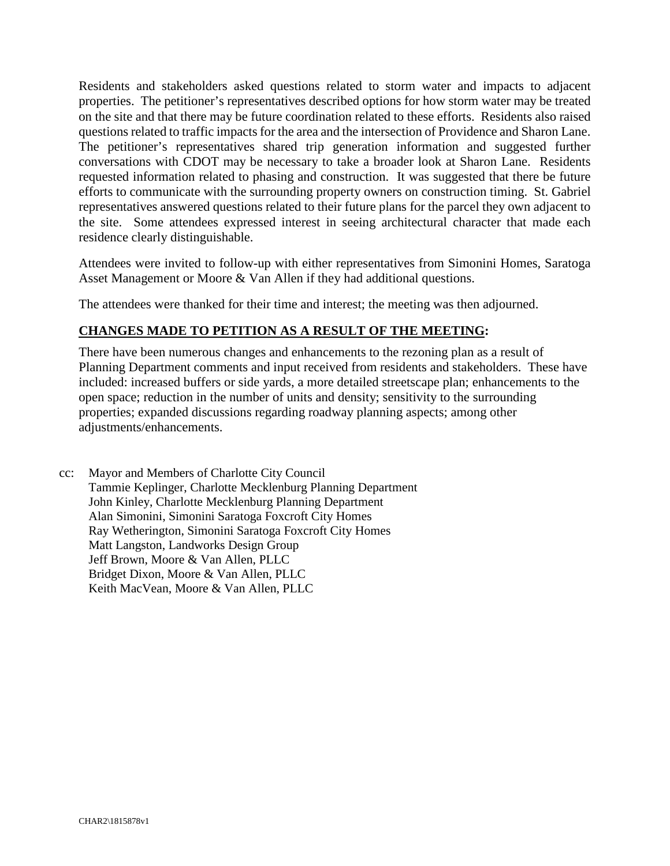Residents and stakeholders asked questions related to storm water and impacts to adjacent properties. The petitioner's representatives described options for how storm water may be treated on the site and that there may be future coordination related to these efforts. Residents also raised questions related to traffic impacts for the area and the intersection of Providence and Sharon Lane. The petitioner's representatives shared trip generation information and suggested further conversations with CDOT may be necessary to take a broader look at Sharon Lane. Residents requested information related to phasing and construction. It was suggested that there be future efforts to communicate with the surrounding property owners on construction timing. St. Gabriel representatives answered questions related to their future plans for the parcel they own adjacent to the site. Some attendees expressed interest in seeing architectural character that made each residence clearly distinguishable.

Attendees were invited to follow-up with either representatives from Simonini Homes, Saratoga Asset Management or Moore & Van Allen if they had additional questions.

The attendees were thanked for their time and interest; the meeting was then adjourned.

# **CHANGES MADE TO PETITION AS A RESULT OF THE MEETING:**

There have been numerous changes and enhancements to the rezoning plan as a result of Planning Department comments and input received from residents and stakeholders. These have included: increased buffers or side yards, a more detailed streetscape plan; enhancements to the open space; reduction in the number of units and density; sensitivity to the surrounding properties; expanded discussions regarding roadway planning aspects; among other adjustments/enhancements.

cc: Mayor and Members of Charlotte City Council Tammie Keplinger, Charlotte Mecklenburg Planning Department John Kinley, Charlotte Mecklenburg Planning Department Alan Simonini, Simonini Saratoga Foxcroft City Homes Ray Wetherington, Simonini Saratoga Foxcroft City Homes Matt Langston, Landworks Design Group Jeff Brown, Moore & Van Allen, PLLC Bridget Dixon, Moore & Van Allen, PLLC Keith MacVean, Moore & Van Allen, PLLC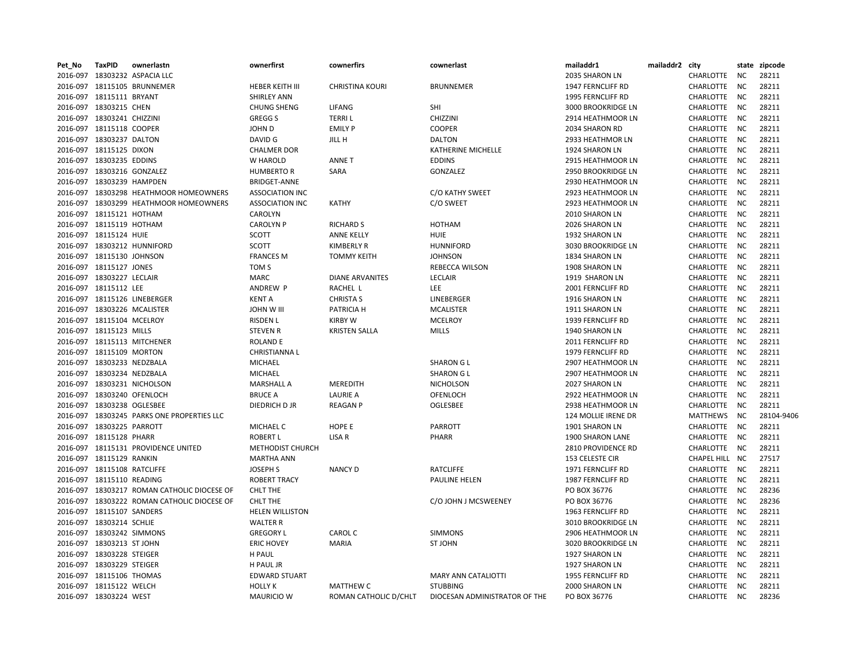| Pet_No | <b>TaxPID</b>               | ownerlastn                                  | ownerfirst              | cownerfirs             | cownerlast                    | mailaddr1           | mailaddr2 city |                  |           | state zipcode |
|--------|-----------------------------|---------------------------------------------|-------------------------|------------------------|-------------------------------|---------------------|----------------|------------------|-----------|---------------|
|        |                             | 2016-097 18303232 ASPACIA LLC               |                         |                        |                               | 2035 SHARON LN      |                | CHARLOTTE        | NC.       | 28211         |
|        |                             | 2016-097 18115105 BRUNNEMER                 | <b>HEBER KEITH III</b>  | <b>CHRISTINA KOURI</b> | <b>BRUNNEMER</b>              | 1947 FERNCLIFF RD   |                | <b>CHARLOTTE</b> | <b>NC</b> | 28211         |
|        | 2016-097 18115111 BRYANT    |                                             | <b>SHIRLEY ANN</b>      |                        |                               | 1995 FERNCLIFF RD   |                | CHARLOTTE        | <b>NC</b> | 28211         |
|        | 2016-097 18303215 CHEN      |                                             | <b>CHUNG SHENG</b>      | LIFANG                 | SHI                           | 3000 BROOKRIDGE LN  |                | CHARLOTTE        | <b>NC</b> | 28211         |
|        | 2016-097 18303241 CHIZZINI  |                                             | <b>GREGGS</b>           | <b>TERRIL</b>          | CHIZZINI                      | 2914 HEATHMOOR LN   |                | CHARLOTTE        | <b>NC</b> | 28211         |
|        | 2016-097 18115118 COOPER    |                                             | JOHN D                  | <b>EMILY P</b>         | <b>COOPER</b>                 | 2034 SHARON RD      |                | CHARLOTTE        | <b>NC</b> | 28211         |
|        | 2016-097 18303237 DALTON    |                                             | DAVID G                 | JILL H                 | <b>DALTON</b>                 | 2933 HEATHMOR LN    |                | CHARLOTTE        | <b>NC</b> | 28211         |
|        | 2016-097 18115125 DIXON     |                                             | <b>CHALMER DOR</b>      |                        | KATHERINE MICHELLE            | 1924 SHARON LN      |                | CHARLOTTE        | NC        | 28211         |
|        | 2016-097 18303235 EDDINS    |                                             | W HAROLD                | <b>ANNET</b>           | <b>EDDINS</b>                 | 2915 HEATHMOOR LN   |                | CHARLOTTE        | <b>NC</b> | 28211         |
|        |                             | 2016-097 18303216 GONZALEZ                  | <b>HUMBERTO R</b>       | SARA                   | <b>GONZALEZ</b>               | 2950 BROOKRIDGE LN  |                | CHARLOTTE        | NC        | 28211         |
|        | 2016-097 18303239 HAMPDEN   |                                             | <b>BRIDGET-ANNE</b>     |                        |                               | 2930 HEATHMOOR LN   |                | CHARLOTTE        | <b>NC</b> | 28211         |
|        |                             | 2016-097 18303298 HEATHMOOR HOMEOWNERS      | <b>ASSOCIATION INC</b>  |                        | C/O KATHY SWEET               | 2923 HEATHMOOR LN   |                | CHARLOTTE        | <b>NC</b> | 28211         |
|        |                             | 2016-097 18303299 HEATHMOOR HOMEOWNERS      | <b>ASSOCIATION INC</b>  | <b>KATHY</b>           | C/O SWEET                     | 2923 HEATHMOOR LN   |                | CHARLOTTE        | <b>NC</b> | 28211         |
|        | 2016-097 18115121 HOTHAM    |                                             | CAROLYN                 |                        |                               | 2010 SHARON LN      |                | CHARLOTTE        | <b>NC</b> | 28211         |
|        | 2016-097 18115119 HOTHAM    |                                             | <b>CAROLYN P</b>        | <b>RICHARD S</b>       | <b>HOTHAM</b>                 | 2026 SHARON LN      |                | CHARLOTTE        | <b>NC</b> | 28211         |
|        | 2016-097 18115124 HUIE      |                                             | <b>SCOTT</b>            | ANNE KELLY             | <b>HUIE</b>                   | 1932 SHARON LN      |                | CHARLOTTE        | NC        | 28211         |
|        |                             | 2016-097 18303212 HUNNIFORD                 | <b>SCOTT</b>            | <b>KIMBERLY R</b>      | <b>HUNNIFORD</b>              | 3030 BROOKRIDGE LN  |                | CHARLOTTE        | <b>NC</b> | 28211         |
|        | 2016-097 18115130 JOHNSON   |                                             | <b>FRANCES M</b>        | <b>TOMMY KEITH</b>     | <b>JOHNSON</b>                | 1834 SHARON LN      |                | CHARLOTTE        | <b>NC</b> | 28211         |
|        | 2016-097 18115127 JONES     |                                             | TOM <sub>S</sub>        |                        | <b>REBECCA WILSON</b>         | 1908 SHARON LN      |                | CHARLOTTE        | NC.       | 28211         |
|        | 2016-097 18303227 LECLAIR   |                                             | <b>MARC</b>             | <b>DIANE ARVANITES</b> | LECLAIR                       | 1919 SHARON LN      |                | CHARLOTTE        | <b>NC</b> | 28211         |
|        | 2016-097 18115112 LEE       |                                             | ANDREW P                | RACHEL L               | LEE                           | 2001 FERNCLIFF RD   |                | CHARLOTTE        | <b>NC</b> | 28211         |
|        |                             | 2016-097 18115126 LINEBERGER                | <b>KENT A</b>           | <b>CHRISTA S</b>       | LINEBERGER                    | 1916 SHARON LN      |                | CHARLOTTE        | <b>NC</b> | 28211         |
|        |                             | 2016-097 18303226 MCALISTER                 | <b>JOHN W III</b>       | PATRICIA H             | <b>MCALISTER</b>              | 1911 SHARON LN      |                | CHARLOTTE        | <b>NC</b> | 28211         |
|        | 2016-097 18115104 MCELROY   |                                             | <b>RISDEN L</b>         | <b>KIRBY W</b>         | <b>MCELROY</b>                | 1939 FERNCLIFF RD   |                | CHARLOTTE        | <b>NC</b> | 28211         |
|        | 2016-097 18115123 MILLS     |                                             | <b>STEVEN R</b>         | <b>KRISTEN SALLA</b>   | <b>MILLS</b>                  | 1940 SHARON LN      |                | CHARLOTTE        | <b>NC</b> | 28211         |
|        |                             | 2016-097 18115113 MITCHENER                 | <b>ROLAND E</b>         |                        |                               | 2011 FERNCLIFF RD   |                | <b>CHARLOTTE</b> | <b>NC</b> | 28211         |
|        | 2016-097 18115109 MORTON    |                                             | <b>CHRISTIANNAL</b>     |                        |                               | 1979 FERNCLIFF RD   |                | CHARLOTTE        | NC        | 28211         |
|        | 2016-097 18303233 NEDZBALA  |                                             | <b>MICHAEL</b>          |                        | <b>SHARON G L</b>             | 2907 HEATHMOOR LN   |                | <b>CHARLOTTE</b> | <b>NC</b> | 28211         |
|        | 2016-097 18303234 NEDZBALA  |                                             | <b>MICHAEL</b>          |                        | <b>SHARON G L</b>             | 2907 HEATHMOOR LN   |                | CHARLOTTE        | <b>NC</b> | 28211         |
|        |                             | 2016-097 18303231 NICHOLSON                 | <b>MARSHALL A</b>       | <b>MEREDITH</b>        | <b>NICHOLSON</b>              | 2027 SHARON LN      |                | CHARLOTTE        | <b>NC</b> | 28211         |
|        |                             | 2016-097 18303240 OFENLOCH                  | <b>BRUCE A</b>          | <b>LAURIE A</b>        | <b>OFENLOCH</b>               | 2922 HEATHMOOR LN   |                | CHARLOTTE        | <b>NC</b> | 28211         |
|        | 2016-097 18303238 OGLESBEE  |                                             | DIEDRICH D JR           | <b>REAGAN P</b>        | OGLESBEE                      | 2938 HEATHMOOR LN   |                | CHARLOTTE        | <b>NC</b> | 28211         |
|        |                             | 2016-097 18303245 PARKS ONE PROPERTIES LLC  |                         |                        |                               | 124 MOLLIE IRENE DR |                | <b>MATTHEWS</b>  | <b>NC</b> | 28104-9406    |
|        | 2016-097 18303225 PARROTT   |                                             | MICHAEL C               | HOPE E                 | PARROTT                       | 1901 SHARON LN      |                | CHARLOTTE        | <b>NC</b> | 28211         |
|        | 2016-097 18115128 PHARR     |                                             | <b>ROBERT L</b>         | LISA R                 | PHARR                         | 1900 SHARON LANE    |                | CHARLOTTE        | <b>NC</b> | 28211         |
|        |                             | 2016-097 18115131 PROVIDENCE UNITED         | <b>METHODIST CHURCH</b> |                        |                               | 2810 PROVIDENCE RD  |                | CHARLOTTE        | <b>NC</b> | 28211         |
|        | 2016-097 18115129 RANKIN    |                                             | <b>MARTHA ANN</b>       |                        |                               | 153 CELESTE CIR     |                | CHAPEL HILL NC   |           | 27517         |
|        | 2016-097 18115108 RATCLIFFE |                                             | <b>JOSEPH S</b>         | <b>NANCY D</b>         | <b>RATCLIFFE</b>              | 1971 FERNCLIFF RD   |                | CHARLOTTE        | <b>NC</b> | 28211         |
|        | 2016-097 18115110 READING   |                                             | <b>ROBERT TRACY</b>     |                        | PAULINE HELEN                 | 1987 FERNCLIFF RD   |                | CHARLOTTE        | <b>NC</b> | 28211         |
|        |                             | 2016-097 18303217 ROMAN CATHOLIC DIOCESE OF | <b>CHLT THE</b>         |                        |                               | PO BOX 36776        |                | CHARLOTTE        | <b>NC</b> | 28236         |
|        |                             | 2016-097 18303222 ROMAN CATHOLIC DIOCESE OF | <b>CHLT THE</b>         |                        | C/O JOHN J MCSWEENEY          | PO BOX 36776        |                | CHARLOTTE        | <b>NC</b> | 28236         |
|        | 2016-097 18115107 SANDERS   |                                             | <b>HELEN WILLISTON</b>  |                        |                               | 1963 FERNCLIFF RD   |                | CHARLOTTE        | <b>NC</b> | 28211         |
|        | 2016-097 18303214 SCHLIE    |                                             | <b>WALTER R</b>         |                        |                               | 3010 BROOKRIDGE LN  |                | CHARLOTTE        | <b>NC</b> | 28211         |
|        | 2016-097 18303242 SIMMONS   |                                             | <b>GREGORY L</b>        | CAROL C                | <b>SIMMONS</b>                | 2906 HEATHMOOR LN   |                | CHARLOTTE        | <b>NC</b> | 28211         |
|        | 2016-097 18303213 ST JOHN   |                                             | <b>ERIC HOVEY</b>       | <b>MARIA</b>           | <b>ST JOHN</b>                | 3020 BROOKRIDGE LN  |                | <b>CHARLOTTE</b> | <b>NC</b> | 28211         |
|        | 2016-097 18303228 STEIGER   |                                             | <b>H PAUL</b>           |                        |                               | 1927 SHARON LN      |                | CHARLOTTE        | NC        | 28211         |
|        | 2016-097 18303229 STEIGER   |                                             | H PAUL JR               |                        |                               | 1927 SHARON LN      |                | <b>CHARLOTTE</b> | <b>NC</b> | 28211         |
|        | 2016-097 18115106 THOMAS    |                                             | <b>EDWARD STUART</b>    |                        | <b>MARY ANN CATALIOTTI</b>    | 1955 FERNCLIFF RD   |                | CHARLOTTE        | <b>NC</b> | 28211         |
|        | 2016-097 18115122 WELCH     |                                             | <b>HOLLY K</b>          | <b>MATTHEW C</b>       | <b>STUBBING</b>               | 2000 SHARON LN      |                | CHARLOTTE        | <b>NC</b> | 28211         |
|        | 2016-097 18303224 WEST      |                                             | MAURICIO W              | ROMAN CATHOLIC D/CHLT  | DIOCESAN ADMINISTRATOR OF THE | PO BOX 36776        |                | CHARLOTTE        | NC        | 28236         |
|        |                             |                                             |                         |                        |                               |                     |                |                  |           |               |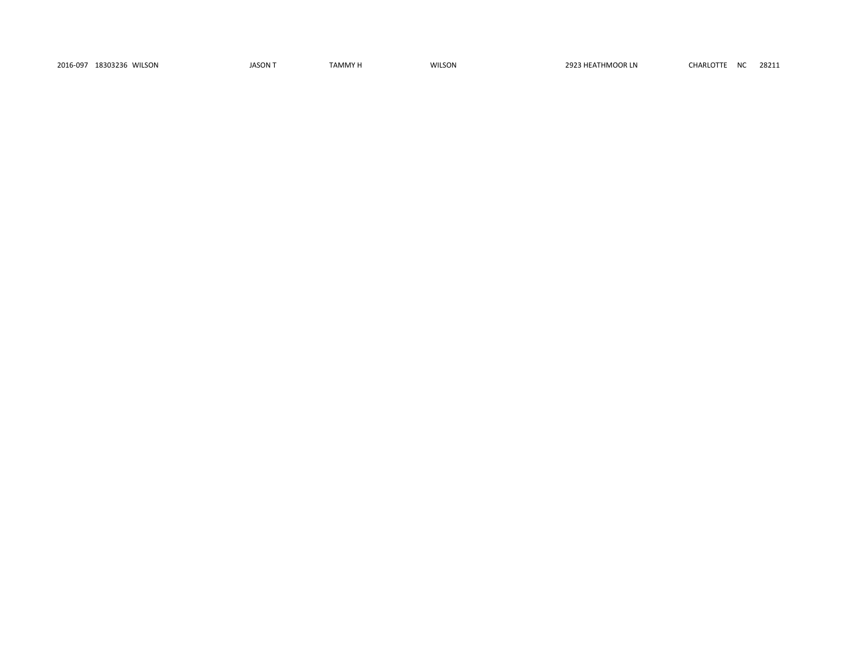2016-097 18303236 WILSON JASON T TAMMY H WILSON 2923 HEATHMOOR LN CHARLOTTE NC 28211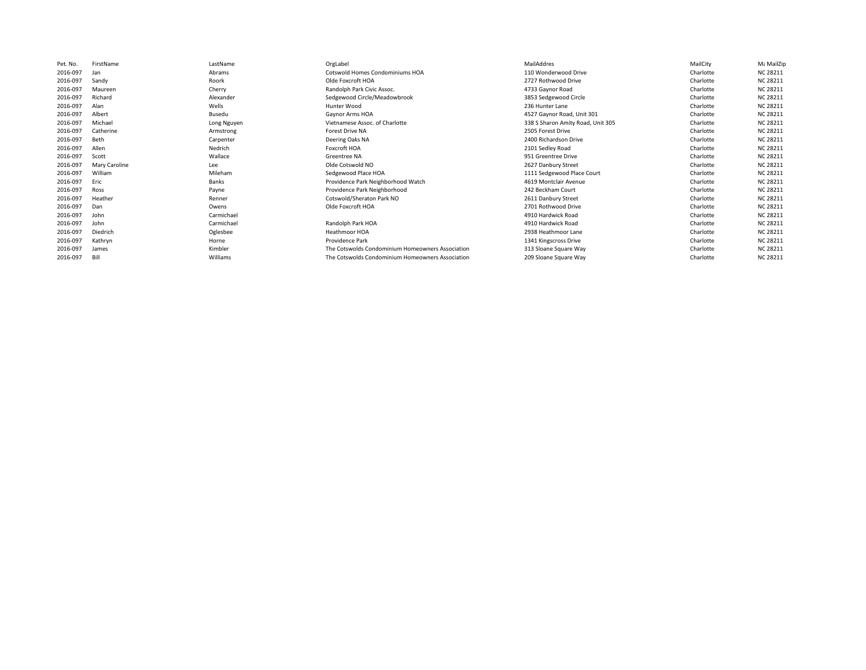| Pet. No. | FirstName     | LastName    | OrgLabel                                         | MailAddres                        | MailCity  | Με MailZip      |
|----------|---------------|-------------|--------------------------------------------------|-----------------------------------|-----------|-----------------|
| 2016-097 | Jan           | Abrams      | Cotswold Homes Condominiums HOA                  | 110 Wonderwood Drive              | Charlotte | <b>NC 28211</b> |
| 2016-097 | Sandv         | Roork       | Olde Foxcroft HOA                                | 2727 Rothwood Drive               | Charlotte | <b>NC 28211</b> |
| 2016-097 | Maureen       | Cherry      | Randolph Park Civic Assoc.                       | 4733 Gaynor Road                  | Charlotte | <b>NC 28211</b> |
| 2016-097 | Richard       | Alexander   | Sedgewood Circle/Meadowbrook                     | 3853 Sedgewood Circle             | Charlotte | <b>NC 28211</b> |
| 2016-097 | Alan          | Wells       | Hunter Wood                                      | 236 Hunter Lane                   | Charlotte | <b>NC 28211</b> |
| 2016-097 | Albert        | Busedu      | Gaynor Arms HOA                                  | 4527 Gaynor Road, Unit 301        | Charlotte | <b>NC 28211</b> |
| 2016-097 | Michael       | Long Nguyen | Vietnamese Assoc. of Charlotte                   | 338 S Sharon Amity Road, Unit 305 | Charlotte | <b>NC 28211</b> |
| 2016-097 | Catherine     | Armstrong   | <b>Forest Drive NA</b>                           | 2505 Forest Drive                 | Charlotte | <b>NC 28211</b> |
| 2016-097 | Beth          | Carpenter   | Deering Oaks NA                                  | 2400 Richardson Drive             | Charlotte | <b>NC 28211</b> |
| 2016-097 | Allen         | Nedrich     | Foxcroft HOA                                     | 2101 Sedley Road                  | Charlotte | <b>NC 28211</b> |
| 2016-097 | Scott         | Wallace     | <b>Greentree NA</b>                              | 951 Greentree Drive               | Charlotte | <b>NC 28211</b> |
| 2016-097 | Mary Caroline | Lee         | Olde Cotswold NO                                 | 2627 Danbury Street               | Charlotte | <b>NC 28211</b> |
| 2016-097 | William       | Mileham     | Sedgewood Place HOA                              | 1111 Sedgewood Place Court        | Charlotte | <b>NC 28211</b> |
| 2016-097 | Fric          | Banks       | Providence Park Neighborhood Watch               | 4619 Montclair Avenue             | Charlotte | <b>NC 28211</b> |
| 2016-097 | Ross          | Payne       | Providence Park Neighborhood                     | 242 Beckham Court                 | Charlotte | <b>NC 28211</b> |
| 2016-097 | Heather       | Renner      | Cotswold/Sheraton Park NO                        | 2611 Danbury Street               | Charlotte | <b>NC 28211</b> |
| 2016-097 | Dan           | Owens       | Olde Foxcroft HOA                                | 2701 Rothwood Drive               | Charlotte | <b>NC 28211</b> |
| 2016-097 | John          | Carmichael  |                                                  | 4910 Hardwick Road                | Charlotte | <b>NC 28211</b> |
| 2016-097 | John          | Carmichael  | Randolph Park HOA                                | 4910 Hardwick Road                | Charlotte | <b>NC 28211</b> |
| 2016-097 | Diedrich      | Oglesbee    | <b>Heathmoor HOA</b>                             | 2938 Heathmoor Lane               | Charlotte | <b>NC 28211</b> |
| 2016-097 | Kathrvn       | Horne       | Providence Park                                  | 1341 Kingscross Drive             | Charlotte | <b>NC 28211</b> |
|          |               |             |                                                  |                                   |           |                 |
| 2016-097 | James         | Kimbler     | The Cotswolds Condominium Homeowners Association | 313 Sloane Square Way             | Charlotte | <b>NC 28211</b> |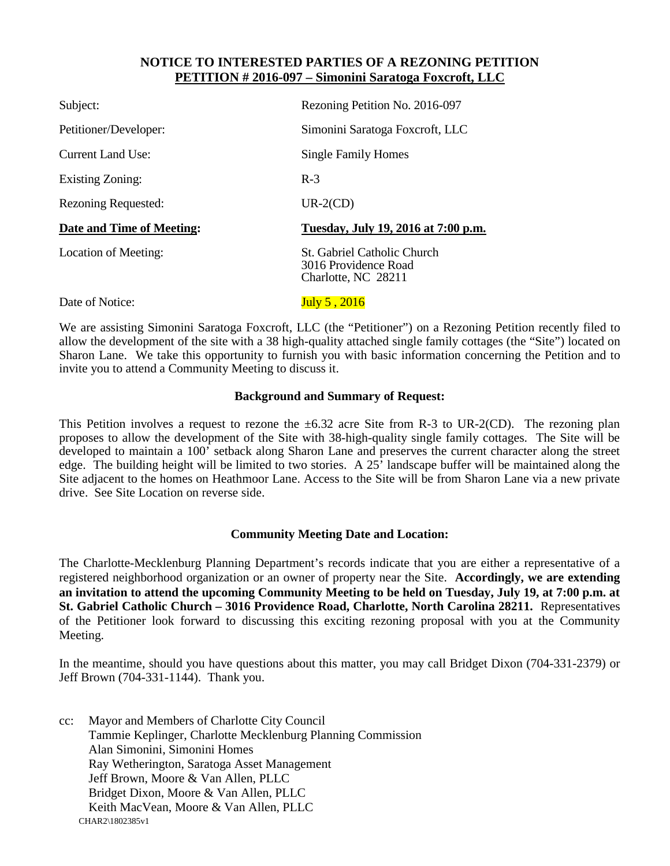#### **NOTICE TO INTERESTED PARTIES OF A REZONING PETITION PETITION # 2016-097 – Simonini Saratoga Foxcroft, LLC**

| Subject:                   | Rezoning Petition No. 2016-097                                             |
|----------------------------|----------------------------------------------------------------------------|
| Petitioner/Developer:      | Simonini Saratoga Foxcroft, LLC                                            |
| <b>Current Land Use:</b>   | <b>Single Family Homes</b>                                                 |
| Existing Zoning:           | $R-3$                                                                      |
| <b>Rezoning Requested:</b> | $UR-2(CD)$                                                                 |
| Date and Time of Meeting:  | Tuesday, July 19, 2016 at 7:00 p.m.                                        |
| Location of Meeting:       | St. Gabriel Catholic Church<br>3016 Providence Road<br>Charlotte, NC 28211 |
| Date of Notice:            | July 5, 2016                                                               |

We are assisting Simonini Saratoga Foxcroft, LLC (the "Petitioner") on a Rezoning Petition recently filed to allow the development of the site with a 38 high-quality attached single family cottages (the "Site") located on Sharon Lane. We take this opportunity to furnish you with basic information concerning the Petition and to invite you to attend a Community Meeting to discuss it.

#### **Background and Summary of Request:**

This Petition involves a request to rezone the  $\pm 6.32$  acre Site from R-3 to UR-2(CD). The rezoning plan proposes to allow the development of the Site with 38-high-quality single family cottages. The Site will be developed to maintain a 100' setback along Sharon Lane and preserves the current character along the street edge. The building height will be limited to two stories. A 25' landscape buffer will be maintained along the Site adjacent to the homes on Heathmoor Lane. Access to the Site will be from Sharon Lane via a new private drive. See Site Location on reverse side.

#### **Community Meeting Date and Location:**

The Charlotte-Mecklenburg Planning Department's records indicate that you are either a representative of a registered neighborhood organization or an owner of property near the Site. **Accordingly, we are extending an invitation to attend the upcoming Community Meeting to be held on Tuesday, July 19, at 7:00 p.m. at St. Gabriel Catholic Church – 3016 Providence Road, Charlotte, North Carolina 28211.** Representatives of the Petitioner look forward to discussing this exciting rezoning proposal with you at the Community Meeting.

In the meantime, should you have questions about this matter, you may call Bridget Dixon (704-331-2379) or Jeff Brown (704-331-1144). Thank you.

CHAR2\1802385v1 cc: Mayor and Members of Charlotte City Council Tammie Keplinger, Charlotte Mecklenburg Planning Commission Alan Simonini, Simonini Homes Ray Wetherington, Saratoga Asset Management Jeff Brown, Moore & Van Allen, PLLC Bridget Dixon, Moore & Van Allen, PLLC Keith MacVean, Moore & Van Allen, PLLC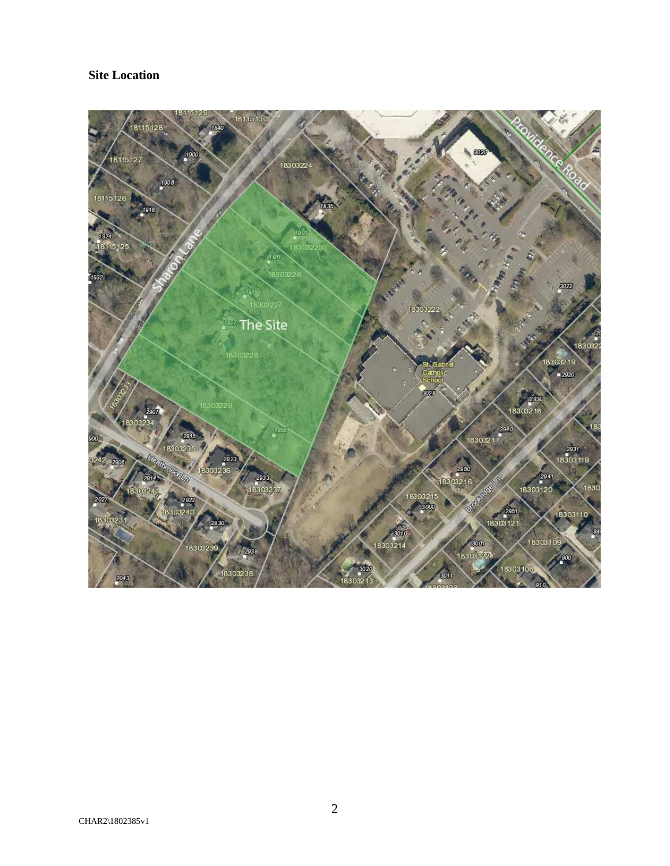# **Site Location**

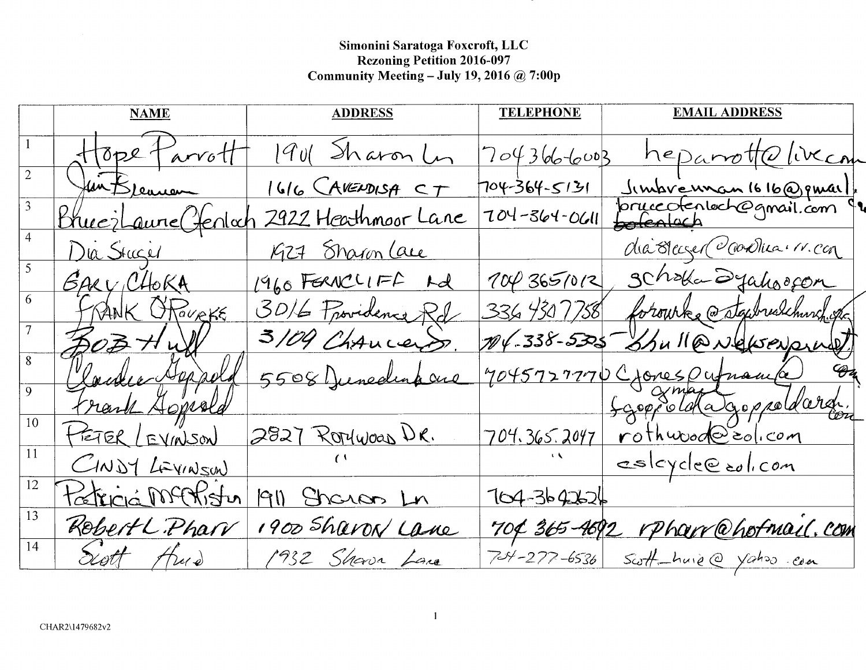Simonini Saratoga Foxcroft, LLC<br>Rezoning Petition 2016-097<br>Community Meeting – July 19, 2016 @ 7:00p

|    | <b>NAME</b>             | <b>ADDRESS</b>      | <b>TELEPHONE</b>   | <b>EMAIL ADDRESS</b>                              |
|----|-------------------------|---------------------|--------------------|---------------------------------------------------|
|    | Hope Parrott            | 1901 Sharon L       | 7043666003         | <u>heparrottolivecom</u>                          |
|    | Jun Breasuren           | 1616 CAVENDISA CT   | 704-364-5131       |                                                   |
|    | <u>Brucilaure Genta</u> | 2922 Heathmoor Lane | $704 - 364 - 0611$ | Jimbrewnan 1616@pmail.<br>pruccotentech@gmail.com |
|    | Dia Stager              | 1927 Sharon Lace    |                    | dia Bleczer Cooklica (11. con                     |
|    | GARY CHOKA              | 1960 FERNCLIFF Ad   | 100365/012         | 3 Choka Syahoocon                                 |
|    | FRANK OPOURKE           | 3016 Providence Rd  |                    | 336 430 7758 forourke @stgwuskhurch.gr            |
|    | 303 Hv                  | 3/09 Chancers.      |                    | 104-338-5305 Shull@Nelsonpull                     |
|    | Loudie Agrada           | 5508 Junedina and   |                    | 7045727770 Crones Outnama                         |
|    | trank Appeld            |                     |                    | Lappotata appointment.                            |
| 10 | HETER / EVINSON         | 2827 Rorywoas DR.   |                    | 704.365.2047 rothwood = 0/100                     |
| 11 | CINDY LEVINSON          |                     |                    | esloyde@colicom                                   |
| 12 | <u>Patriciá MCKistu</u> | 1911 Sharan Ln      | $104 - 3642626$    |                                                   |
| 13 | Rebert L. Pharr         | 1900 Sharon Lane    |                    | 704 365-4692 rpharr@hofmail.com                   |
| 14 | Scott thus              | 1932 Shave Lane     |                    | 704-277-6536 Scott-huie @ Yahoo.com               |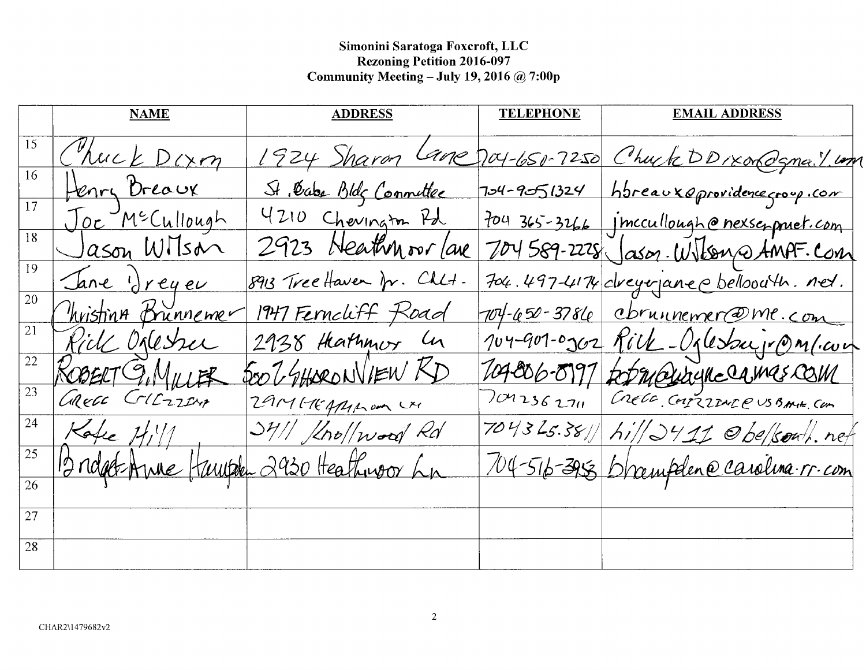# Simonini Saratoga Foxcroft, LLC<br>Rezoning Petition 2016-097<br>Community Meeting – July 19, 2016 @ 7:00p

|                 | <b>NAME</b>         | <b>ADDRESS</b>                        | <b>TELEPHONE</b> | <b>EMAIL ADDRESS</b>                                   |
|-----------------|---------------------|---------------------------------------|------------------|--------------------------------------------------------|
| 15              | Chuck Dorm          |                                       |                  | 1924 Sharon Lane Day-650-7250 Chuck DDIXOROgnail. Long |
| 16              | Henry Breaux        | St. Cabe Bldg Connettee               |                  | 704-9051324 hbreauxeprovidence group.com               |
| 17              | Joe McCullough      | 4210 Chevington Pd                    |                  | 704 365-3266 inccullough@nexseppuet.com                |
| 18              | <u>Jason Wilson</u> | 2923 Heathmoor lave                   |                  | 704589-2228 Jason. Wilson @ AMPF. Com                  |
| 19              | Jane dreyer         | 8913 Tree Haven fr. Chlt.             |                  | 704.497-4174 dreyer ane c belloouth. net.              |
| 20              | hristing Brunnemer  | 1947 Ferncliff Road                   |                  | 704-650-3786 cbruinemer@me.com                         |
| 21              | Rick Orlesser       | 2938 Hathmor In                       |                  | 104-901-0302 Rick-Oplesburg M.com                      |
| $22\,$          |                     | SOO GHARONVIEW KD                     |                  |                                                        |
| 23              | ROBERT G. MILLER    | 2914144140m LM                        |                  | 104-806-8997 fot Malinghe CAMAS COM                    |
| 24              | Kake $H_1''$        | $341/$ $100/$ $100/$ $10/$            |                  | 704325.3811 hill 2411 Obelsont. net                    |
| 25              |                     | Bridget-Amie Hauph 2930 Heathingor La |                  | 104-516-395 Drampden@carolina.rr.com                   |
| $\overline{26}$ |                     |                                       |                  |                                                        |
| 27              |                     |                                       |                  |                                                        |
| 28              |                     |                                       |                  |                                                        |